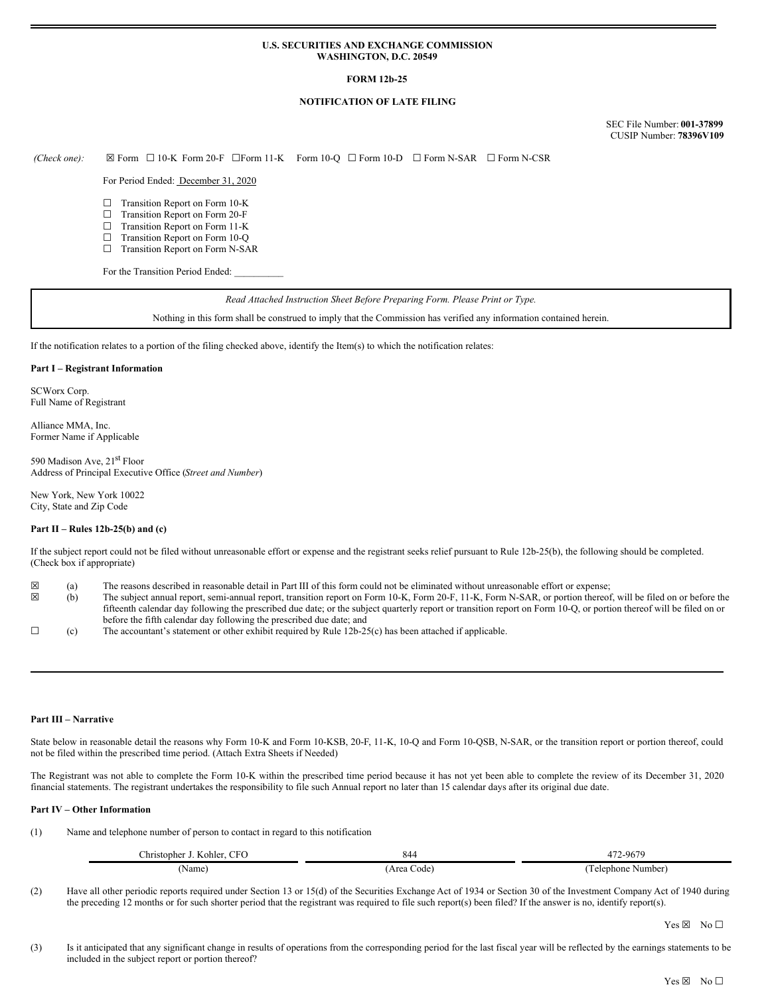### **U.S. SECURITIES AND EXCHANGE COMMISSION WASHINGTON, D.C. 20549**

## **FORM 12b-25**

## **NOTIFICATION OF LATE FILING**

SEC File Number: **001-37899** CUSIP Number: **78396V109**

*(Check one):* ☒ Form ☐ 10-K Form 20-F ☐Form 11-K Form 10-Q ☐ Form 10-D ☐ Form N-SAR ☐ Form N-CSR

For Period Ended: December 31, 2020

- ☐ Transition Report on Form 10-K
- ☐ Transition Report on Form 20-F
- ☐ Transition Report on Form 11-K
- □ Transition Report on Form 10-Q ☐ Transition Report on Form N-SAR

For the Transition Period Ended:

*Read Attached Instruction Sheet Before Preparing Form. Please Print or Type.*

Nothing in this form shall be construed to imply that the Commission has verified any information contained herein.

If the notification relates to a portion of the filing checked above, identify the Item(s) to which the notification relates:

#### **Part I – Registrant Information**

SCWorx Corp. Full Name of Registrant

Alliance MMA, Inc. Former Name if Applicable

590 Madison Ave, 21<sup>st</sup> Floor Address of Principal Executive Office (*Street and Number*)

New York, New York 10022 City, State and Zip Code

### **Part II – Rules 12b-25(b) and (c)**

If the subject report could not be filed without unreasonable effort or expense and the registrant seeks relief pursuant to Rule 12b-25(b), the following should be completed. (Check box if appropriate)

- $\boxtimes$  (a) The reasons described in reasonable detail in Part III of this form could not be eliminated without unreasonable effort or expense;<br>(b) The subject annual report, semi-annual report, transition report on Form 10
- ☒ (b) The subject annual report, semi-annual report, transition report on Form 10-K, Form 20-F, 11-K, Form N-SAR, or portion thereof, will be filed on or before the fifteenth calendar day following the prescribed due date; or the subject quarterly report or transition report on Form 10-Q, or portion thereof will be filed on or before the fifth calendar day following the prescribed due date; and
- $\Box$  (c) The accountant's statement or other exhibit required by Rule 12b-25(c) has been attached if applicable.

#### **Part III – Narrative**

State below in reasonable detail the reasons why Form 10-K and Form 10-KSB, 20-F, 11-K, 10-Q and Form 10-QSB, N-SAR, or the transition report or portion thereof, could not be filed within the prescribed time period. (Attach Extra Sheets if Needed)

The Registrant was not able to complete the Form 10-K within the prescribed time period because it has not yet been able to complete the review of its December 31, 2020 financial statements. The registrant undertakes the responsibility to file such Annual report no later than 15 calendar days after its original due date.

#### **Part IV – Other Information**

(1) Name and telephone number of person to contact in regard to this notification

| CFO<br>--<br>hristopher_<br>Kohler. | 844                            | $2 - 9670$<br>∸.        |
|-------------------------------------|--------------------------------|-------------------------|
| 'Name)                              | Area<br>Code <sup>'</sup><br>. | .: Number`<br>Telephone |

(2) Have all other periodic reports required under Section 13 or 15(d) of the Securities Exchange Act of 1934 or Section 30 of the Investment Company Act of 1940 during the preceding 12 months or for such shorter period that the registrant was required to file such report(s) been filed? If the answer is no, identify report(s).

Yes ⊠ No □

(3) Is it anticipated that any significant change in results of operations from the corresponding period for the last fiscal year will be reflected by the earnings statements to be included in the subject report or portion thereof?